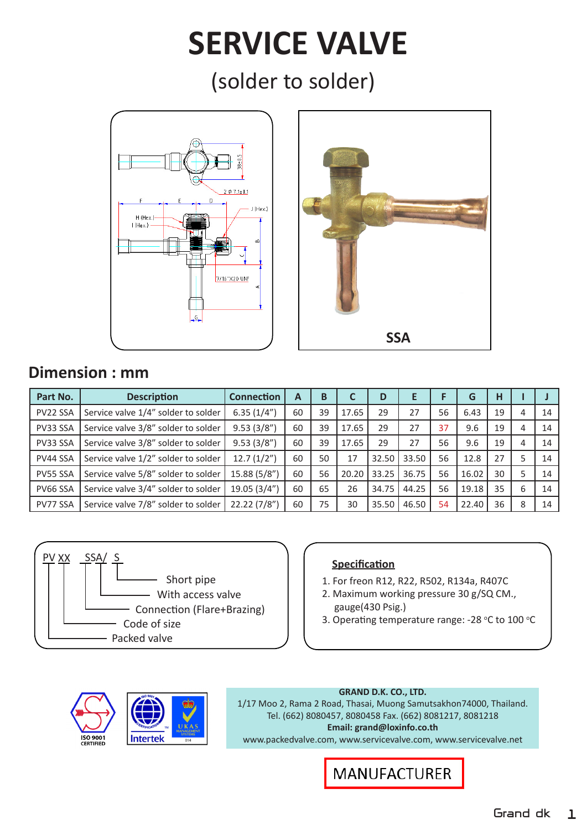# **SERVICE VALVE**

(solder to solder)





## **Dimension : mm**

| Part No. | <b>Description</b>                  | <b>Connection</b> | А  | B  |       | D     | Е     |    | G     | H  |   |    |
|----------|-------------------------------------|-------------------|----|----|-------|-------|-------|----|-------|----|---|----|
| PV22 SSA | Service valve 1/4" solder to solder | 6.35(1/4")        | 60 | 39 | 17.65 | 29    | 27    | 56 | 6.43  | 19 | 4 | 14 |
| PV33 SSA | Service valve 3/8" solder to solder | 9.53(3/8")        | 60 | 39 | 17.65 | 29    | 27    | 37 | 9.6   | 19 | 4 | 14 |
| PV33 SSA | Service valve 3/8" solder to solder | 9.53(3/8")        | 60 | 39 | 17.65 | 29    | 27    | 56 | 9.6   | 19 | 4 | 14 |
| PV44 SSA | Service valve 1/2" solder to solder | 12.7(1/2")        | 60 | 50 | 17    | 32.50 | 33.50 | 56 | 12.8  | 27 |   | 14 |
| PV55 SSA | Service valve 5/8" solder to solder | 15.88 (5/8")      | 60 | 56 | 20.20 | 33.25 | 36.75 | 56 | 16.02 | 30 |   | 14 |
| PV66 SSA | Service valve 3/4" solder to solder | 19.05 (3/4")      | 60 | 65 | 26    | 34.75 | 44.25 | 56 | 19.18 | 35 | 6 | 14 |
| PV77 SSA | Service valve 7/8" solder to solder | 22.22 (7/8")      | 60 | 75 | 30    | 35.50 | 46.50 | 54 | 22.40 | 36 | 8 | 14 |



- 1. For freon R12, R22, R502, R134a, R407C
- 2. Maximum working pressure 30 g/SQ CM., gauge(430 Psig.)
- 3. Operating temperature range: -28 °C to 100 °C



### **GRAND D.K. CO., LTD.**

1/17 Moo 2, Rama 2 Road, Thasai, Muong Samutsakhon74000, Thailand. Tel. (662) 8080457, 8080458 Fax. (662) 8081217, 8081218 **Email: grand@loxinfo.co.th** www.packedvalve.com, www.servicevalve.com, www.servicevalve.net

**MANUFACTURER**